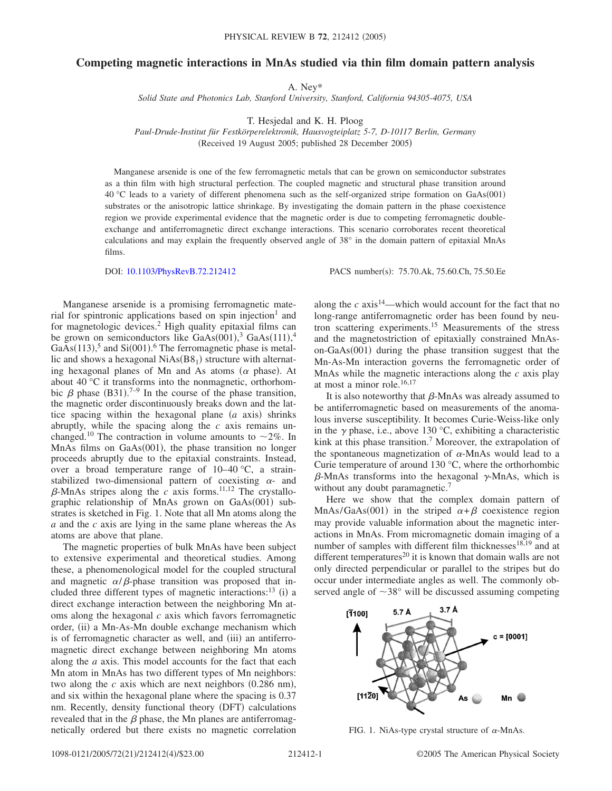## **Competing magnetic interactions in MnAs studied via thin film domain pattern analysis**

A. Ney\*

*Solid State and Photonics Lab, Stanford University, Stanford, California 94305-4075, USA*

T. Hesjedal and K. H. Ploog

*Paul-Drude-Institut für Festkörperelektronik, Hausvogteiplatz 5-7, D-10117 Berlin, Germany* (Received 19 August 2005; published 28 December 2005)

Manganese arsenide is one of the few ferromagnetic metals that can be grown on semiconductor substrates as a thin film with high structural perfection. The coupled magnetic and structural phase transition around 40 °C leads to a variety of different phenomena such as the self-organized stripe formation on GaAs(001) substrates or the anisotropic lattice shrinkage. By investigating the domain pattern in the phase coexistence region we provide experimental evidence that the magnetic order is due to competing ferromagnetic doubleexchange and antiferromagnetic direct exchange interactions. This scenario corroborates recent theoretical calculations and may explain the frequently observed angle of 38° in the domain pattern of epitaxial MnAs films.

DOI: [10.1103/PhysRevB.72.212412](http://dx.doi.org/10.1103/PhysRevB.72.212412)

PACS number(s): 75.70.Ak, 75.60.Ch, 75.50.Ee

Manganese arsenide is a promising ferromagnetic material for spintronic applications based on spin injection<sup>1</sup> and for magnetologic devices.2 High quality epitaxial films can be grown on semiconductors like  $GaAs(001),^3 GaAs(111),^4$ GaAs $(113)$ <sup>5</sup>, and Si $(001)$ <sup>6</sup>. The ferromagnetic phase is metallic and shows a hexagonal  $NiAs(B8<sub>1</sub>)$  structure with alternating hexagonal planes of Mn and As atoms  $(\alpha$  phase). At about 40 °C it transforms into the nonmagnetic, orthorhombic  $\beta$  phase (B31).<sup>7-9</sup> In the course of the phase transition, the magnetic order discontinuously breaks down and the lattice spacing within the hexagonal plane  $(a \text{ axis})$  shrinks abruptly, while the spacing along the *c* axis remains unchanged.<sup>10</sup> The contraction in volume amounts to  $\sim$ 2%. In MnAs films on GaAs(001), the phase transition no longer proceeds abruptly due to the epitaxial constraints. Instead, over a broad temperature range of  $10-40$  °C, a strainstabilized two-dimensional pattern of coexisting  $\alpha$ - and  $\beta$ -MnAs stripes along the *c* axis forms.<sup>11,12</sup> The crystallographic relationship of MnAs grown on GaAs(001) substrates is sketched in Fig. 1. Note that all Mn atoms along the *a* and the *c* axis are lying in the same plane whereas the As atoms are above that plane.

The magnetic properties of bulk MnAs have been subject to extensive experimental and theoretical studies. Among these, a phenomenological model for the coupled structural and magnetic  $\alpha/\beta$ -phase transition was proposed that included three different types of magnetic interactions:<sup>13</sup> (i) a direct exchange interaction between the neighboring Mn atoms along the hexagonal *c* axis which favors ferromagnetic order, (ii) a Mn-As-Mn double exchange mechanism which is of ferromagnetic character as well, and (iii) an antiferromagnetic direct exchange between neighboring Mn atoms along the *a* axis. This model accounts for the fact that each Mn atom in MnAs has two different types of Mn neighbors: two along the  $c$  axis which are next neighbors  $(0.286 \text{ nm})$ , and six within the hexagonal plane where the spacing is 0.37 nm. Recently, density functional theory (DFT) calculations revealed that in the  $\beta$  phase, the Mn planes are antiferromagnetically ordered but there exists no magnetic correlation

along the  $c$  axis<sup>14</sup>—which would account for the fact that no long-range antiferromagnetic order has been found by neutron scattering experiments.15 Measurements of the stress and the magnetostriction of epitaxially constrained MnAson-GaAs(001) during the phase transition suggest that the Mn-As-Mn interaction governs the ferromagnetic order of MnAs while the magnetic interactions along the *c* axis play at most a minor role.16,17

It is also noteworthy that  $\beta$ -MnAs was already assumed to be antiferromagnetic based on measurements of the anomalous inverse susceptibility. It becomes Curie-Weiss-like only in the  $\gamma$  phase, i.e., above 130 °C, exhibiting a characteristic kink at this phase transition.<sup>7</sup> Moreover, the extrapolation of the spontaneous magnetization of  $\alpha$ -MnAs would lead to a Curie temperature of around 130 °C, where the orthorhombic  $\beta$ -MnAs transforms into the hexagonal  $\gamma$ -MnAs, which is without any doubt paramagnetic.<sup>7</sup>

Here we show that the complex domain pattern of MnAs/GaAs(001) in the striped  $\alpha + \beta$  coexistence region may provide valuable information about the magnetic interactions in MnAs. From micromagnetic domain imaging of a number of samples with different film thicknesses $18,19$  and at different temperatures<sup>20</sup> it is known that domain walls are not only directed perpendicular or parallel to the stripes but do occur under intermediate angles as well. The commonly observed angle of  $\sim$ 38 $\degree$  will be discussed assuming competing



FIG. 1. NiAs-type crystal structure of  $\alpha$ -MnAs.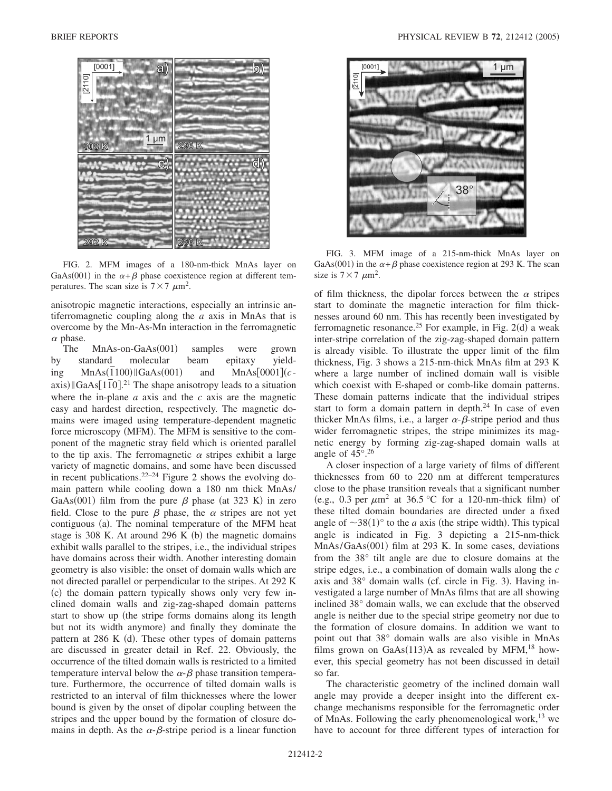

FIG. 2. MFM images of a 180-nm-thick MnAs layer on GaAs(001) in the  $\alpha + \beta$  phase coexistence region at different temperatures. The scan size is  $7 \times 7 \mu m^2$ .

anisotropic magnetic interactions, especially an intrinsic antiferromagnetic coupling along the *a* axis in MnAs that is overcome by the Mn-As-Mn interaction in the ferromagnetic  $\alpha$  phase.

The  $MnAs-on-GaAs(001)$  samples were grown by standard molecular beam epitaxy yielding MnAs(1100) GaAs(001) and  $MnAs[0001](c \lim_{\text{max}} \frac{N_{\text{max}}(100)}{100}$ .<sup>21</sup> The shape anisotropy leads to a situation where the in-plane *a* axis and the *c* axis are the magnetic easy and hardest direction, respectively. The magnetic domains were imaged using temperature-dependent magnetic force microscopy (MFM). The MFM is sensitive to the component of the magnetic stray field which is oriented parallel to the tip axis. The ferromagnetic  $\alpha$  stripes exhibit a large variety of magnetic domains, and some have been discussed in recent publications. $22-24$  Figure 2 shows the evolving domain pattern while cooling down a 180 nm thick MnAs/ GaAs(001) film from the pure  $\beta$  phase (at 323 K) in zero field. Close to the pure  $\beta$  phase, the  $\alpha$  stripes are not yet contiguous (a). The nominal temperature of the MFM heat stage is 308 K. At around 296 K  $(b)$  the magnetic domains exhibit walls parallel to the stripes, i.e., the individual stripes have domains across their width. Another interesting domain geometry is also visible: the onset of domain walls which are not directed parallel or perpendicular to the stripes. At 292 K (c) the domain pattern typically shows only very few inclined domain walls and zig-zag-shaped domain patterns start to show up (the stripe forms domains along its length but not its width anymore) and finally they dominate the pattern at 286 K (d). These other types of domain patterns are discussed in greater detail in Ref. 22. Obviously, the occurrence of the tilted domain walls is restricted to a limited temperature interval below the  $\alpha$ - $\beta$  phase transition temperature. Furthermore, the occurrence of tilted domain walls is restricted to an interval of film thicknesses where the lower bound is given by the onset of dipolar coupling between the stripes and the upper bound by the formation of closure domains in depth. As the  $\alpha$ - $\beta$ -stripe period is a linear function



FIG. 3. MFM image of a 215-nm-thick MnAs layer on GaAs(001) in the  $\alpha + \beta$  phase coexistence region at 293 K. The scan size is  $7 \times 7 \mu m^2$ .

of film thickness, the dipolar forces between the  $\alpha$  stripes start to dominate the magnetic interaction for film thicknesses around 60 nm. This has recently been investigated by ferromagnetic resonance.<sup>25</sup> For example, in Fig. 2(d) a weak inter-stripe correlation of the zig-zag-shaped domain pattern is already visible. To illustrate the upper limit of the film thickness, Fig. 3 shows a 215-nm-thick MnAs film at 293 K where a large number of inclined domain wall is visible which coexist with E-shaped or comb-like domain patterns. These domain patterns indicate that the individual stripes start to form a domain pattern in depth.24 In case of even thicker MnAs films, i.e., a larger  $\alpha$ - $\beta$ -stripe period and thus wider ferromagnetic stripes, the stripe minimizes its magnetic energy by forming zig-zag-shaped domain walls at angle of  $45^{\circ}$ .  $26$ 

A closer inspection of a large variety of films of different thicknesses from 60 to 220 nm at different temperatures close to the phase transition reveals that a significant number (e.g., 0.3 per  $\mu$ m<sup>2</sup> at 36.5 °C for a 120-nm-thick film) of these tilted domain boundaries are directed under a fixed angle of  $\sim 38(1)$ <sup>o</sup> to the *a* axis (the stripe width). This typical angle is indicated in Fig. 3 depicting a 215-nm-thick MnAs/GaAs(001) film at 293 K. In some cases, deviations from the 38° tilt angle are due to closure domains at the stripe edges, i.e., a combination of domain walls along the *c* axis and 38° domain walls (cf. circle in Fig. 3). Having investigated a large number of MnAs films that are all showing inclined 38° domain walls, we can exclude that the observed angle is neither due to the special stripe geometry nor due to the formation of closure domains. In addition we want to point out that 38° domain walls are also visible in MnAs films grown on GaAs $(113)$ A as revealed by MFM,<sup>18</sup> however, this special geometry has not been discussed in detail so far.

The characteristic geometry of the inclined domain wall angle may provide a deeper insight into the different exchange mechanisms responsible for the ferromagnetic order of MnAs. Following the early phenomenological work, $^{13}$  we have to account for three different types of interaction for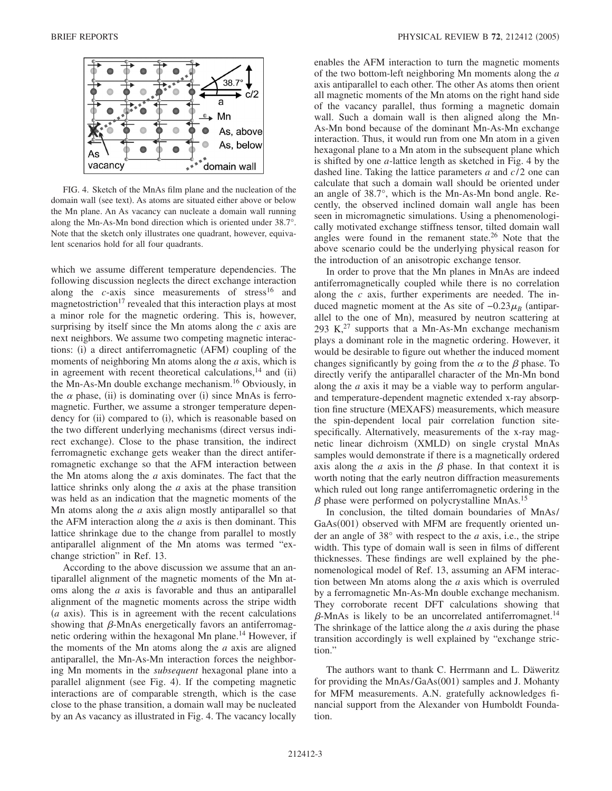

FIG. 4. Sketch of the MnAs film plane and the nucleation of the domain wall (see text). As atoms are situated either above or below the Mn plane. An As vacancy can nucleate a domain wall running along the Mn-As-Mn bond direction which is oriented under 38.7°. Note that the sketch only illustrates one quadrant, however, equivalent scenarios hold for all four quadrants.

which we assume different temperature dependencies. The following discussion neglects the direct exchange interaction along the  $c$ -axis since measurements of stress<sup>16</sup> and magnetostriction<sup>17</sup> revealed that this interaction plays at most a minor role for the magnetic ordering. This is, however, surprising by itself since the Mn atoms along the *c* axis are next neighbors. We assume two competing magnetic interactions: (i) a direct antiferromagnetic (AFM) coupling of the moments of neighboring Mn atoms along the *a* axis, which is in agreement with recent theoretical calculations,  $14$  and (ii) the Mn-As-Mn double exchange mechanism.16 Obviously, in the  $\alpha$  phase, (ii) is dominating over (i) since MnAs is ferromagnetic. Further, we assume a stronger temperature dependency for (ii) compared to (i), which is reasonable based on the two different underlying mechanisms (direct versus indirect exchange). Close to the phase transition, the indirect ferromagnetic exchange gets weaker than the direct antiferromagnetic exchange so that the AFM interaction between the Mn atoms along the *a* axis dominates. The fact that the lattice shrinks only along the *a* axis at the phase transition was held as an indication that the magnetic moments of the Mn atoms along the *a* axis align mostly antiparallel so that the AFM interaction along the *a* axis is then dominant. This lattice shrinkage due to the change from parallel to mostly antiparallel alignment of the Mn atoms was termed "exchange striction" in Ref. 13.

According to the above discussion we assume that an antiparallel alignment of the magnetic moments of the Mn atoms along the *a* axis is favorable and thus an antiparallel alignment of the magnetic moments across the stripe width  $(a$  axis). This is in agreement with the recent calculations showing that  $\beta$ -MnAs energetically favors an antiferromagnetic ordering within the hexagonal Mn plane.<sup>14</sup> However, if the moments of the Mn atoms along the *a* axis are aligned antiparallel, the Mn-As-Mn interaction forces the neighboring Mn moments in the *subsequent* hexagonal plane into a parallel alignment (see Fig. 4). If the competing magnetic interactions are of comparable strength, which is the case close to the phase transition, a domain wall may be nucleated by an As vacancy as illustrated in Fig. 4. The vacancy locally enables the AFM interaction to turn the magnetic moments of the two bottom-left neighboring Mn moments along the *a* axis antiparallel to each other. The other As atoms then orient all magnetic moments of the Mn atoms on the right hand side of the vacancy parallel, thus forming a magnetic domain wall. Such a domain wall is then aligned along the Mn-As-Mn bond because of the dominant Mn-As-Mn exchange interaction. Thus, it would run from one Mn atom in a given hexagonal plane to a Mn atom in the subsequent plane which is shifted by one *a*-lattice length as sketched in Fig. 4 by the dashed line. Taking the lattice parameters *a* and *c*/ 2 one can calculate that such a domain wall should be oriented under an angle of 38.7°, which is the Mn-As-Mn bond angle. Recently, the observed inclined domain wall angle has been seen in micromagnetic simulations. Using a phenomenologically motivated exchange stiffness tensor, tilted domain wall angles were found in the remanent state. $26$  Note that the above scenario could be the underlying physical reason for the introduction of an anisotropic exchange tensor.

In order to prove that the Mn planes in MnAs are indeed antiferromagnetically coupled while there is no correlation along the *c* axis, further experiments are needed. The induced magnetic moment at the As site of  $-0.23\mu_B$  (antiparallel to the one of Mn), measured by neutron scattering at 293 K, $^{27}$  supports that a Mn-As-Mn exchange mechanism plays a dominant role in the magnetic ordering. However, it would be desirable to figure out whether the induced moment changes significantly by going from the  $\alpha$  to the  $\beta$  phase. To directly verify the antiparallel character of the Mn-Mn bond along the *a* axis it may be a viable way to perform angularand temperature-dependent magnetic extended x-ray absorption fine structure (MEXAFS) measurements, which measure the spin-dependent local pair correlation function sitespecifically. Alternatively, measurements of the x-ray magnetic linear dichroism (XMLD) on single crystal MnAs samples would demonstrate if there is a magnetically ordered axis along the  $a$  axis in the  $\beta$  phase. In that context it is worth noting that the early neutron diffraction measurements which ruled out long range antiferromagnetic ordering in the  $\beta$  phase were performed on polycrystalline MnAs.<sup>15</sup>

In conclusion, the tilted domain boundaries of MnAs/ GaAs(001) observed with MFM are frequently oriented under an angle of 38° with respect to the *a* axis, i.e., the stripe width. This type of domain wall is seen in films of different thicknesses. These findings are well explained by the phenomenological model of Ref. 13, assuming an AFM interaction between Mn atoms along the *a* axis which is overruled by a ferromagnetic Mn-As-Mn double exchange mechanism. They corroborate recent DFT calculations showing that  $\beta$ -MnAs is likely to be an uncorrelated antiferromagnet.<sup>14</sup> The shrinkage of the lattice along the *a* axis during the phase transition accordingly is well explained by "exchange striction."

The authors want to thank C. Herrmann and L. Däweritz for providing the MnAs/GaAs(001) samples and J. Mohanty for MFM measurements. A.N. gratefully acknowledges financial support from the Alexander von Humboldt Foundation.